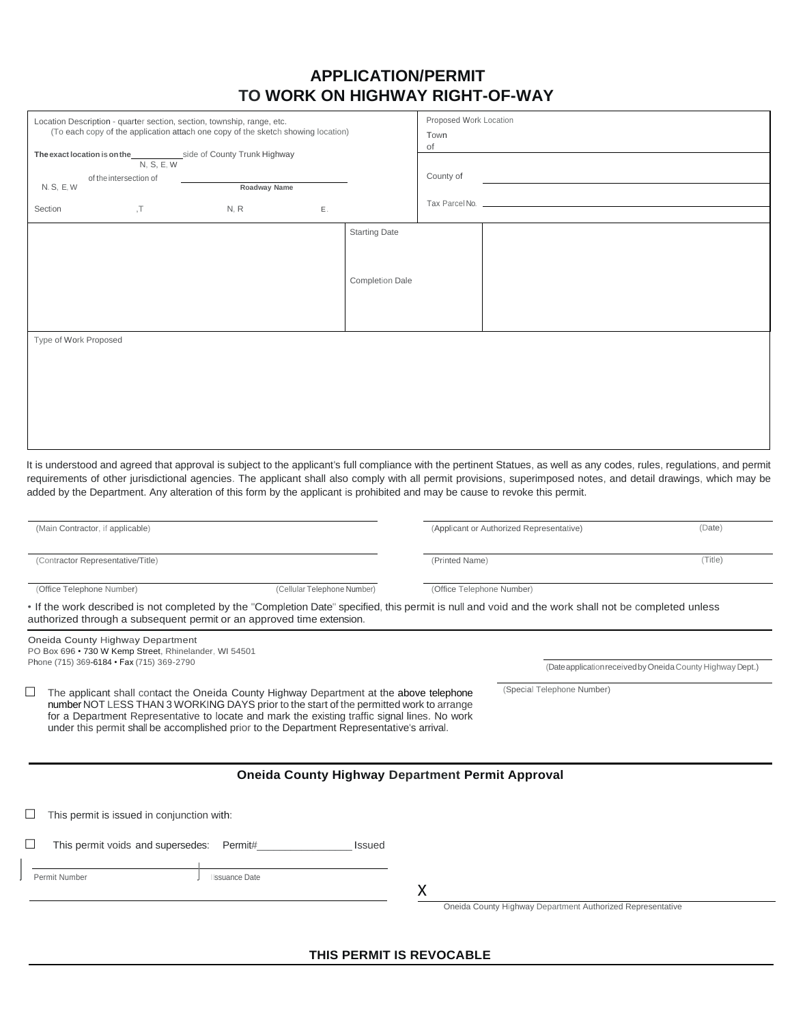# **APPLICATION/PERMIT TO WORK ON HIGHWAY RIGHT-OF-WAY**

| Location Description - quarter section, section, township, range, etc.<br>(To each copy of the application attach one copy of the sketch showing location) |                                                                                           |                                                                                                                                                                                                                                                                                                                                                                                  |  |                           | Proposed Work Location<br>Town                          |                                                                                                                                                      |         |
|------------------------------------------------------------------------------------------------------------------------------------------------------------|-------------------------------------------------------------------------------------------|----------------------------------------------------------------------------------------------------------------------------------------------------------------------------------------------------------------------------------------------------------------------------------------------------------------------------------------------------------------------------------|--|---------------------------|---------------------------------------------------------|------------------------------------------------------------------------------------------------------------------------------------------------------|---------|
| side of County Trunk Highway<br>The exact location is on the<br>N, S, E, W<br>of the intersection of<br>Roadway Name<br>N. S, E, W                         |                                                                                           |                                                                                                                                                                                                                                                                                                                                                                                  |  |                           | of<br>County of                                         |                                                                                                                                                      |         |
|                                                                                                                                                            |                                                                                           |                                                                                                                                                                                                                                                                                                                                                                                  |  |                           |                                                         |                                                                                                                                                      |         |
|                                                                                                                                                            |                                                                                           |                                                                                                                                                                                                                                                                                                                                                                                  |  | <b>Starting Date</b>      |                                                         |                                                                                                                                                      |         |
|                                                                                                                                                            |                                                                                           |                                                                                                                                                                                                                                                                                                                                                                                  |  |                           |                                                         |                                                                                                                                                      |         |
|                                                                                                                                                            |                                                                                           |                                                                                                                                                                                                                                                                                                                                                                                  |  | <b>Completion Dale</b>    |                                                         |                                                                                                                                                      |         |
|                                                                                                                                                            |                                                                                           |                                                                                                                                                                                                                                                                                                                                                                                  |  |                           |                                                         |                                                                                                                                                      |         |
| Type of Work Proposed                                                                                                                                      |                                                                                           |                                                                                                                                                                                                                                                                                                                                                                                  |  |                           |                                                         |                                                                                                                                                      |         |
|                                                                                                                                                            |                                                                                           |                                                                                                                                                                                                                                                                                                                                                                                  |  |                           |                                                         |                                                                                                                                                      |         |
|                                                                                                                                                            |                                                                                           |                                                                                                                                                                                                                                                                                                                                                                                  |  |                           |                                                         |                                                                                                                                                      |         |
|                                                                                                                                                            |                                                                                           |                                                                                                                                                                                                                                                                                                                                                                                  |  |                           |                                                         |                                                                                                                                                      |         |
|                                                                                                                                                            |                                                                                           |                                                                                                                                                                                                                                                                                                                                                                                  |  |                           |                                                         |                                                                                                                                                      |         |
|                                                                                                                                                            |                                                                                           |                                                                                                                                                                                                                                                                                                                                                                                  |  |                           |                                                         |                                                                                                                                                      |         |
| (Main Contractor, if applicable)                                                                                                                           |                                                                                           |                                                                                                                                                                                                                                                                                                                                                                                  |  |                           | (Applicant or Authorized Representative)<br>(Date)      |                                                                                                                                                      |         |
| (Contractor Representative/Title)                                                                                                                          |                                                                                           |                                                                                                                                                                                                                                                                                                                                                                                  |  |                           | (Printed Name)                                          |                                                                                                                                                      | (Title) |
| (Office Telephone Number)<br>(Cellular Telephone Number)                                                                                                   |                                                                                           |                                                                                                                                                                                                                                                                                                                                                                                  |  | (Office Telephone Number) |                                                         |                                                                                                                                                      |         |
|                                                                                                                                                            |                                                                                           | authorized through a subsequent permit or an approved time extension.                                                                                                                                                                                                                                                                                                            |  |                           |                                                         | . If the work described is not completed by the "Completion Date" specified, this permit is null and void and the work shall not be completed unless |         |
|                                                                                                                                                            | Oneida County Highway Department<br>PO Box 696 · 730 W Kemp Street, Rhinelander, WI 54501 |                                                                                                                                                                                                                                                                                                                                                                                  |  |                           |                                                         |                                                                                                                                                      |         |
|                                                                                                                                                            | Phone (715) 369-6184 · Fax (715) 369-2790                                                 |                                                                                                                                                                                                                                                                                                                                                                                  |  |                           |                                                         | (Date application received by Oneida County Highway Dept.)                                                                                           |         |
|                                                                                                                                                            |                                                                                           | The applicant shall contact the Oneida County Highway Department at the above telephone<br>number NOT LESS THAN 3 WORKING DAYS prior to the start of the permitted work to arrange<br>for a Department Representative to locate and mark the existing traffic signal lines. No work<br>under this permit shall be accomplished prior to the Department Representative's arrival. |  |                           |                                                         | (Special Telephone Number)                                                                                                                           |         |
|                                                                                                                                                            |                                                                                           |                                                                                                                                                                                                                                                                                                                                                                                  |  |                           | <b>Oneida County Highway Department Permit Approval</b> |                                                                                                                                                      |         |
|                                                                                                                                                            |                                                                                           |                                                                                                                                                                                                                                                                                                                                                                                  |  |                           |                                                         |                                                                                                                                                      |         |
|                                                                                                                                                            | This permit is issued in conjunction with:                                                |                                                                                                                                                                                                                                                                                                                                                                                  |  |                           |                                                         |                                                                                                                                                      |         |
| ⊔                                                                                                                                                          | This permit voids and supersedes:                                                         | Permit#                                                                                                                                                                                                                                                                                                                                                                          |  | <b>Issued</b>             |                                                         |                                                                                                                                                      |         |
| Permit Number                                                                                                                                              |                                                                                           | <b>Issuance Date</b>                                                                                                                                                                                                                                                                                                                                                             |  |                           |                                                         |                                                                                                                                                      |         |
|                                                                                                                                                            |                                                                                           |                                                                                                                                                                                                                                                                                                                                                                                  |  |                           | X                                                       |                                                                                                                                                      |         |

Oneida County Highway Department Authorized Representative

**THIS PERMIT IS REVOCABLE**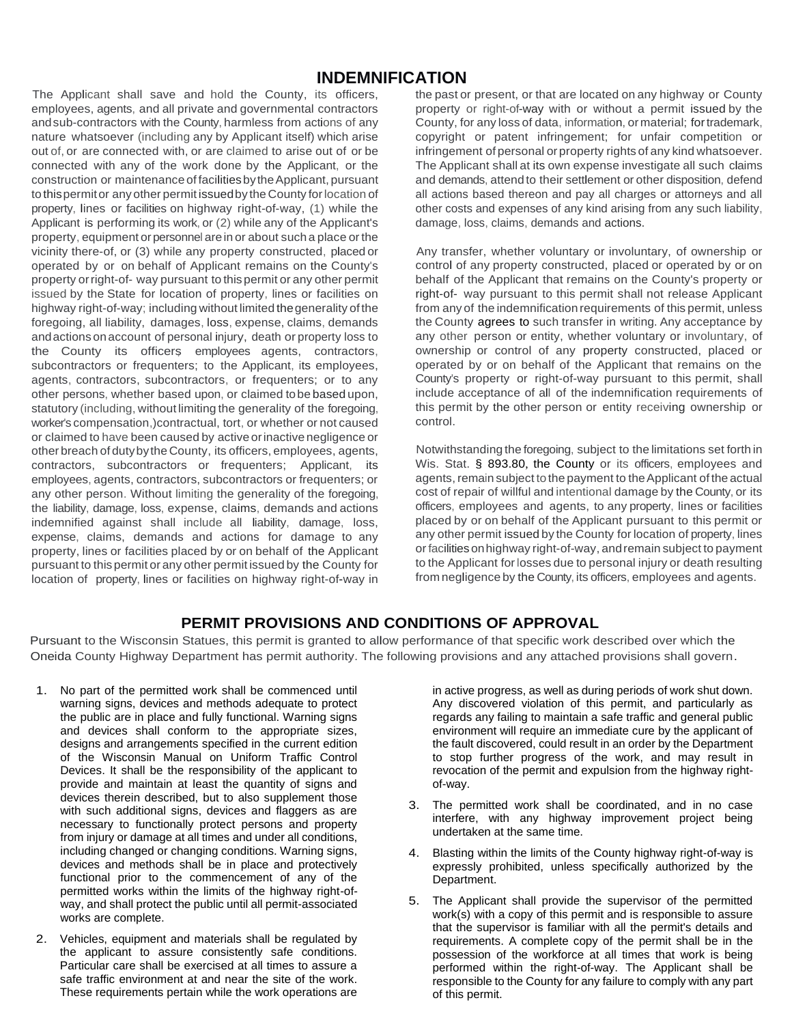# **INDEMNIFICATION**

The Applicant shall save and hold the County, its officers, employees, agents, and all private and governmental contractors andsub-contractors with the County, harmless from actions of any nature whatsoever (including any by Applicant itself) which arise out of, or are connected with, or are claimed to arise out of or be connected with any of the work done by the Applicant, or the construction or maintenance of facilities by the Applicant, pursuant to thispermitor any other permit issuedby the County forlocation of property, lines or facilities on highway right-of-way, (1) while the Applicant is performing its work, or (2) while any of the Applicant's property, equipment orpersonnel arein or about such a place or the vicinity there-of, or (3) while any property constructed, placed or operated by or on behalf of Applicant remains on the County's property orright-of- way pursuant to thispermit or any other permit issued by the State for location of property, lines or facilities on highway right-of-way; including without limited thegenerality ofthe foregoing, all liability, damages, loss, expense, claims, demands andactions onaccount of personal injury, death or property loss to the County its officers employees agents, contractors, subcontractors or frequenters; to the Applicant, its employees, agents, contractors, subcontractors, or frequenters; or to any other persons, whether based upon, or claimed tobe based upon, statutory (including, without limiting the generality of the foregoing, worker's compensation,)contractual, tort, or whether or not caused or claimed to have been caused by active orinactive negligence or other breach of dutybythe County, its officers, employees, agents, contractors, subcontractors or frequenters; Applicant, its employees, agents, contractors, subcontractors or frequenters; or any other person. Without limiting the generality of the foregoing, the liability, damage, loss, expense, claims, demands and actions indemnified against shall include all liability, damage, loss, expense, claims, demands and actions for damage to any property, lines or facilities placed by or on behalf of the Applicant pursuant to thispermit or any other permit issued by the County for location of property, lines or facilities on highway right-of-way in the past or present, or that are located on any highway or County property or right-of-way with or without a permit issued by the County, for any loss of data, information, or material; fortrademark, copyright or patent infringement; for unfair competition or infringement of personal or property rights of any kind whatsoever. The Applicant shall at its own expense investigate all such claims and demands, attend to their settlement or other disposition, defend all actions based thereon and pay all charges or attorneys and all other costs and expenses of any kind arising from any such liability, damage, loss, claims, demands and actions.

Any transfer, whether voluntary or involuntary, of ownership or control of any property constructed, placed or operated by or on behalf of the Applicant that remains on the County's property or right-of- way pursuant to this permit shall not release Applicant from any of the indemnification requirements of this permit, unless the County agrees to such transfer in writing. Any acceptance by any other person or entity, whether voluntary or involuntary, of ownership or control of any property constructed, placed or operated by or on behalf of the Applicant that remains on the County's property or right-of-way pursuant to this permit, shall include acceptance of all of the indemnification requirements of this permit by the other person or entity receiving ownership or control.

Notwithstanding the foregoing, subject to the limitations set forth in Wis. Stat. § 893.80, the County or its officers, employees and agents, remain subject to the payment to theApplicant of the actual cost of repair of willful and intentional damage by the County, or its officers, employees and agents, to any property, lines or facilities placed by or on behalf of the Applicant pursuant to this permit or any other permit issued by the County for location of property, lines or facilities onhighway right-of-way, andremain subject to payment to the Applicant forlosses due to personal injury or death resulting from negligence by the County, its officers, employees and agents.

## **PERMIT PROVISIONS AND CONDITIONS OF APPROVAL**

Pursuant to the Wisconsin Statues, this permit is granted to allow performance of that specific work described over which the Oneida County Highway Department has permit authority. The following provisions and any attached provisions shall govern.

- 1. No part of the permitted work shall be commenced until warning signs, devices and methods adequate to protect the public are in place and fully functional. Warning signs and devices shall conform to the appropriate sizes, designs and arrangements specified in the current edition of the Wisconsin Manual on Uniform Traffic Control Devices. It shall be the responsibility of the applicant to provide and maintain at least the quantity of signs and devices therein described, but to also supplement those with such additional signs, devices and flaggers as are necessary to functionally protect persons and property from injury or damage at all times and under all conditions, including changed or changing conditions. Warning signs, devices and methods shall be in place and protectively functional prior to the commencement of any of the permitted works within the limits of the highway right-ofway, and shall protect the public until all permit-associated works are complete.
- 2. Vehicles, equipment and materials shall be regulated by the applicant to assure consistently safe conditions. Particular care shall be exercised at all times to assure a safe traffic environment at and near the site of the work. These requirements pertain while the work operations are

in active progress, as well as during periods of work shut down. Any discovered violation of this permit, and particularly as regards any failing to maintain a safe traffic and general public environment will require an immediate cure by the applicant of the fault discovered, could result in an order by the Department to stop further progress of the work, and may result in revocation of the permit and expulsion from the highway rightof-way.

- 3. The permitted work shall be coordinated, and in no case interfere, with any highway improvement project being undertaken at the same time.
- 4. Blasting within the limits of the County highway right-of-way is expressly prohibited, unless specifically authorized by the Department.
- 5. The Applicant shall provide the supervisor of the permitted work(s) with a copy of this permit and is responsible to assure that the supervisor is familiar with all the permit's details and requirements. A complete copy of the permit shall be in the possession of the workforce at all times that work is being performed within the right-of-way. The Applicant shall be responsible to the County for any failure to comply with any part of this permit.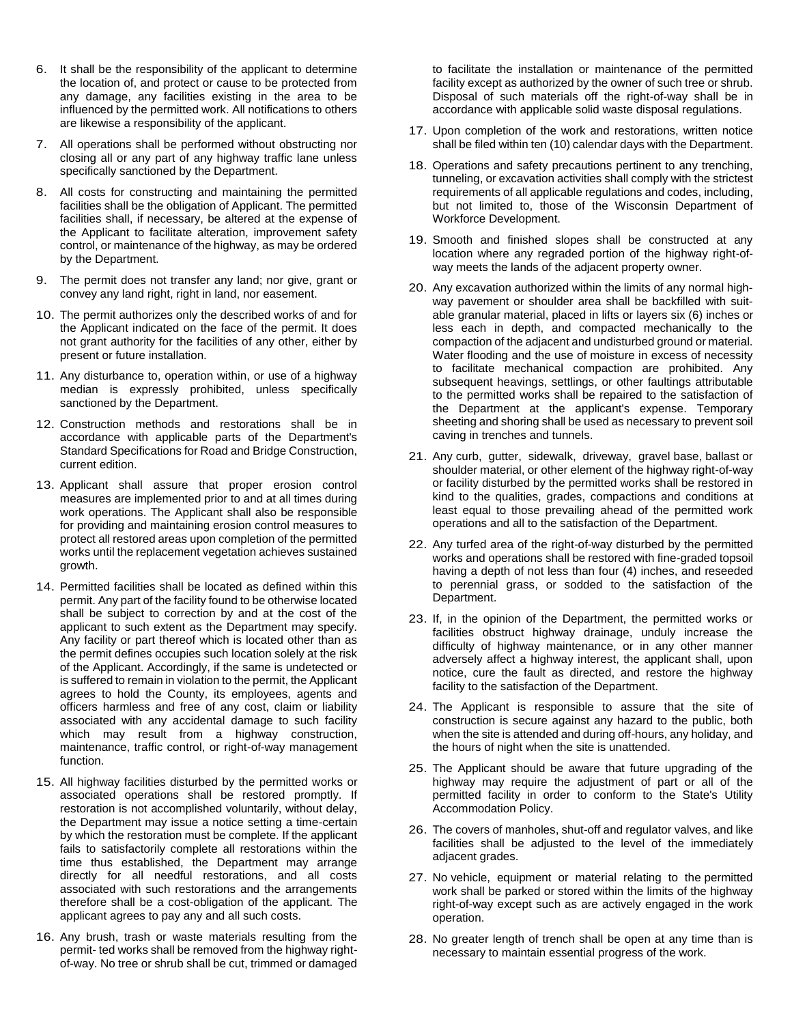- 6. It shall be the responsibility of the applicant to determine the location of, and protect or cause to be protected from any damage, any facilities existing in the area to be influenced by the permitted work. All notifications to others are likewise a responsibility of the applicant.
- 7. All operations shall be performed without obstructing nor closing all or any part of any highway traffic lane unless specifically sanctioned by the Department.
- 8. All costs for constructing and maintaining the permitted facilities shall be the obligation of Applicant. The permitted facilities shall, if necessary, be altered at the expense of the Applicant to facilitate alteration, improvement safety control, or maintenance of the highway, as may be ordered by the Department.
- 9. The permit does not transfer any land; nor give, grant or convey any land right, right in land, nor easement.
- 10. The permit authorizes only the described works of and for the Applicant indicated on the face of the permit. It does not grant authority for the facilities of any other, either by present or future installation.
- 11. Any disturbance to, operation within, or use of a highway median is expressly prohibited, unless specifically sanctioned by the Department.
- 12. Construction methods and restorations shall be in accordance with applicable parts of the Department's Standard Specifications for Road and Bridge Construction, current edition.
- 13. Applicant shall assure that proper erosion control measures are implemented prior to and at all times during work operations. The Applicant shall also be responsible for providing and maintaining erosion control measures to protect all restored areas upon completion of the permitted works until the replacement vegetation achieves sustained growth.
- 14. Permitted facilities shall be located as defined within this permit. Any part of the facility found to be otherwise located shall be subject to correction by and at the cost of the applicant to such extent as the Department may specify. Any facility or part thereof which is located other than as the permit defines occupies such location solely at the risk of the Applicant. Accordingly, if the same is undetected or is suffered to remain in violation to the permit, the Applicant agrees to hold the County, its employees, agents and officers harmless and free of any cost, claim or liability associated with any accidental damage to such facility which may result from a highway construction, maintenance, traffic control, or right-of-way management function.
- 15. All highway facilities disturbed by the permitted works or associated operations shall be restored promptly. If restoration is not accomplished voluntarily, without delay, the Department may issue a notice setting a time-certain by which the restoration must be complete. If the applicant fails to satisfactorily complete all restorations within the time thus established, the Department may arrange directly for all needful restorations, and all costs associated with such restorations and the arrangements therefore shall be a cost-obligation of the applicant. The applicant agrees to pay any and all such costs.
- 16. Any brush, trash or waste materials resulting from the permit- ted works shall be removed from the highway rightof-way. No tree or shrub shall be cut, trimmed or damaged

to facilitate the installation or maintenance of the permitted facility except as authorized by the owner of such tree or shrub. Disposal of such materials off the right-of-way shall be in accordance with applicable solid waste disposal regulations.

- 17. Upon completion of the work and restorations, written notice shall be filed within ten (10) calendar days with the Department.
- 18. Operations and safety precautions pertinent to any trenching, tunneling, or excavation activities shall comply with the strictest requirements of all applicable regulations and codes, including, but not limited to, those of the Wisconsin Department of Workforce Development.
- 19. Smooth and finished slopes shall be constructed at any location where any regraded portion of the highway right-ofway meets the lands of the adjacent property owner.
- 20. Any excavation authorized within the limits of any normal highway pavement or shoulder area shall be backfilled with suitable granular material, placed in lifts or layers six (6) inches or less each in depth, and compacted mechanically to the compaction of the adjacent and undisturbed ground or material. Water flooding and the use of moisture in excess of necessity to facilitate mechanical compaction are prohibited. Any subsequent heavings, settlings, or other faultings attributable to the permitted works shall be repaired to the satisfaction of the Department at the applicant's expense. Temporary sheeting and shoring shall be used as necessary to prevent soil caving in trenches and tunnels.
- 21. Any curb, gutter, sidewalk, driveway, gravel base, ballast or shoulder material, or other element of the highway right-of-way or facility disturbed by the permitted works shall be restored in kind to the qualities, grades, compactions and conditions at least equal to those prevailing ahead of the permitted work operations and all to the satisfaction of the Department.
- 22. Any turfed area of the right-of-way disturbed by the permitted works and operations shall be restored with fine-graded topsoil having a depth of not less than four (4) inches, and reseeded to perennial grass, or sodded to the satisfaction of the Department.
- 23. If, in the opinion of the Department, the permitted works or facilities obstruct highway drainage, unduly increase the difficulty of highway maintenance, or in any other manner adversely affect a highway interest, the applicant shall, upon notice, cure the fault as directed, and restore the highway facility to the satisfaction of the Department.
- 24. The Applicant is responsible to assure that the site of construction is secure against any hazard to the public, both when the site is attended and during off-hours, any holiday, and the hours of night when the site is unattended.
- 25. The Applicant should be aware that future upgrading of the highway may require the adjustment of part or all of the permitted facility in order to conform to the State's Utility Accommodation Policy.
- 26. The covers of manholes, shut-off and regulator valves, and like facilities shall be adjusted to the level of the immediately adjacent grades.
- 27. No vehicle, equipment or material relating to the permitted work shall be parked or stored within the limits of the highway right-of-way except such as are actively engaged in the work operation.
- 28. No greater length of trench shall be open at any time than is necessary to maintain essential progress of the work.